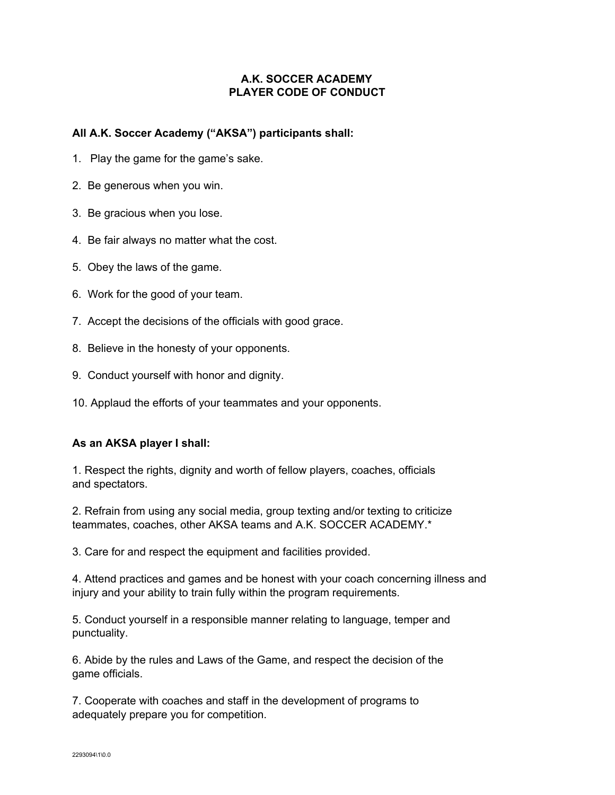## **A.K. SOCCER ACADEMY PLAYER CODE OF CONDUCT**

## **All A.K. Soccer Academy ("AKSA") participants shall:**

- 1. Play the game for the game's sake.
- 2. Be generous when you win.
- 3. Be gracious when you lose.
- 4. Be fair always no matter what the cost.
- 5. Obey the laws of the game.
- 6. Work for the good of your team.
- 7. Accept the decisions of the officials with good grace.
- 8. Believe in the honesty of your opponents.
- 9. Conduct yourself with honor and dignity.
- 10. Applaud the efforts of your teammates and your opponents.

## **As an AKSA player I shall:**

1. Respect the rights, dignity and worth of fellow players, coaches, officials and spectators.

2. Refrain from using any social media, group texting and/or texting to criticize teammates, coaches, other AKSA teams and A.K. SOCCER ACADEMY.\*

3. Care for and respect the equipment and facilities provided.

4. Attend practices and games and be honest with your coach concerning illness and injury and your ability to train fully within the program requirements.

5. Conduct yourself in a responsible manner relating to language, temper and punctuality.

6. Abide by the rules and Laws of the Game, and respect the decision of the game officials.

7. Cooperate with coaches and staff in the development of programs to adequately prepare you for competition.